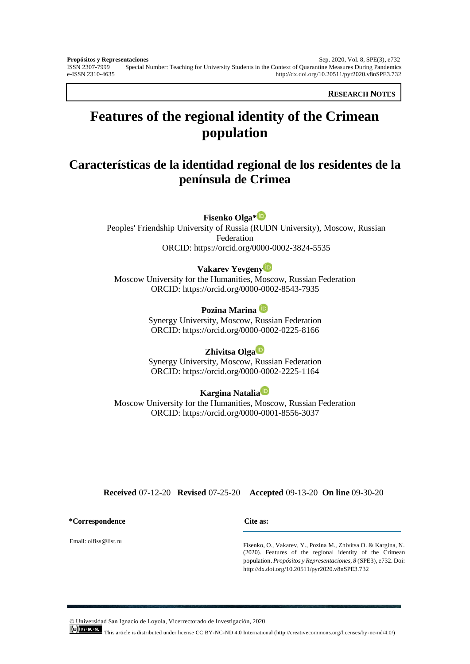**RESEARCH NOTES**

# **Features of the regional identity of the Crimean population**

## **Características de la identidad regional de los residentes de la península de Crimea**

## **Fisenko Olga\***

Peoples' Friendship University of Russia (RUDN University), Moscow, Russian Federation ORCID: <https://orcid.org/0000-0002-3824-5535>

## **Vakarev Yevgeny**

Moscow University for the Humanities, Moscow, Russian Federation ORCID:<https://orcid.org/0000-0002-8543-7935>

## **Pozina Marina**

Synergy University, Moscow, Russian Federation ORCID: https://orcid.org/0000-0002-0225-8166

#### **Zhivitsa Olga**

Synergy University, Moscow, Russian Federation ORCID: <https://orcid.org/0000-0002-2225-1164>

## **Kargina Natalia**

Moscow University for the Humanities, Moscow, Russian Federation ORCID:<https://orcid.org/0000-0001-8556-3037>

#### **Received** 07-12-20 **Revised** 07-25-20 **Accepted** 09-13-20 **On line** 09-30-20

#### **\*Correspondence Cite as:**

Email: olfiss@list.ru

Fisenko, O., Vakarev, Y., Pozina M., Zhivitsa O. & Kargina, N. (2020). Features of the regional identity of the Crimean population. *Propósitos y Representaciones, 8* (SPE3), e732. Doi: <http://dx.doi.org/10.20511/pyr2020.v8nSPE3.732>

© Universidad San Ignacio de Loyola, Vicerrectorado de Investigación, 2020.

This article is distributed under license CC BY-NC-ND 4.0 International (http://creativecommons.org/licenses/by-nc-nd/4.0/)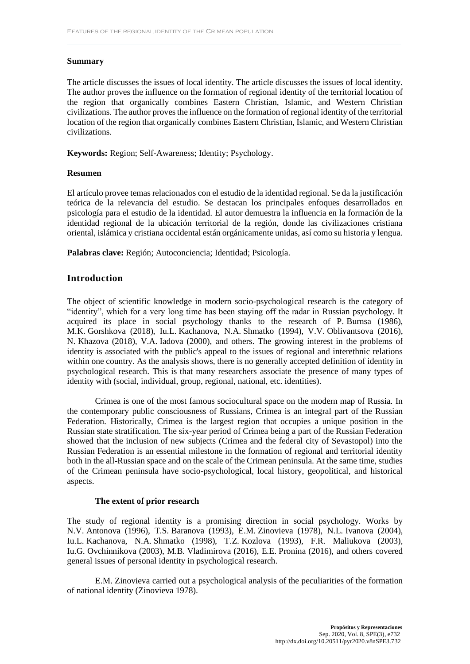#### **Summary**

The article discusses the issues of local identity. The article discusses the issues of local identity. The author proves the influence on the formation of regional identity of the territorial location of the region that organically combines Eastern Christian, Islamic, and Western Christian civilizations. The author proves the influence on the formation of regional identity of the territorial location of the region that organically combines Eastern Christian, Islamic, and Western Christian civilizations.

**Keywords:** Region; Self-Awareness; Identity; Psychology.

#### **Resumen**

El artículo provee temas relacionados con el estudio de la identidad regional. Se da la justificación teórica de la relevancia del estudio. Se destacan los principales enfoques desarrollados en psicología para el estudio de la identidad. El autor demuestra la influencia en la formación de la identidad regional de la ubicación territorial de la región, donde las civilizaciones cristiana oriental, islámica y cristiana occidental están orgánicamente unidas, así como su historia y lengua.

**Palabras clave:** Región; Autoconciencia; Identidad; Psicología.

## **Introduction**

The object of scientific knowledge in modern socio-psychological research is the category of "identity", which for a very long time has been staying off the radar in Russian psychology. It acquired its place in social psychology thanks to the research of P. Burnsa (1986), M.K. Gorshkova (2018), Iu.L. Kachanova, N.A. Shmatko (1994), V.V. Oblivantsova (2016), N. Khazova (2018), V.A. Iadova (2000), and others. The growing interest in the problems of identity is associated with the public's appeal to the issues of regional and interethnic relations within one country. As the analysis shows, there is no generally accepted definition of identity in psychological research. This is that many researchers associate the presence of many types of identity with (social, individual, group, regional, national, etc. identities).

Crimea is one of the most famous sociocultural space on the modern map of Russia. In the contemporary public consciousness of Russians, Crimea is an integral part of the Russian Federation. Historically, Crimea is the largest region that occupies a unique position in the Russian state stratification. The six-year period of Crimea being a part of the Russian Federation showed that the inclusion of new subjects (Crimea and the federal city of Sevastopol) into the Russian Federation is an essential milestone in the formation of regional and territorial identity both in the all-Russian space and on the scale of the Crimean peninsula. At the same time, studies of the Crimean peninsula have socio-psychological, local history, geopolitical, and historical aspects.

#### **The extent of prior research**

The study of regional identity is a promising direction in social psychology. Works by N.V. Antonova (1996), T.S. Baranova (1993), E.M. Zinovieva (1978), N.L. Ivanova (2004), Iu.L. Kachanova, N.A. Shmatko (1998), T.Z. Kozlova (1993), F.R. Maliukova (2003), Iu.G. Ovchinnikova (2003), M.B. Vladimirova (2016), E.E. Pronina (2016), and others covered general issues of personal identity in psychological research.

E.M. Zinovieva carried out a psychological analysis of the peculiarities of the formation of national identity (Zinovieva 1978).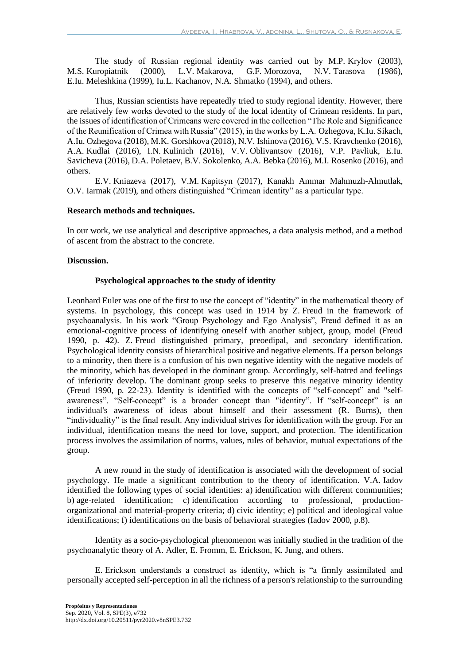The study of Russian regional identity was carried out by M.P. Krylov (2003), M.S. Kuropiatnik (2000), L.V. Makarova, G.F. Morozova, N.V. Tarasova (1986), E.Iu. Meleshkina (1999), Iu.L. Kachanov, N.A. Shmatko (1994), and others.

Thus, Russian scientists have repeatedly tried to study regional identity. However, there are relatively few works devoted to the study of the local identity of Crimean residents. In part, the issues of identification of Crimeans were covered in the collection "The Role and Significance of the Reunification of Crimea with Russia" (2015), in the works by L.A. Ozhegova, K.Iu. Sikach, A.Iu. Ozhegova (2018), M.K. Gorshkova (2018), N.V. Ishinova (2016), V.S. Kravchenko (2016), A.A. Kudlai (2016), I.N. Kulinich (2016), V.V. Oblivantsov (2016), V.P. Pavliuk, E.Iu. Savicheva (2016), D.A. Poletaev, B.V. Sokolenko, A.A. Bebka (2016), M.I. Rosenko (2016), and others.

E.V. Kniazeva (2017), V.M. Kapitsyn (2017), Kanakh Ammar Mahmuzh-Almutlak, O.V. Iarmak (2019), and others distinguished "Crimean identity" as a particular type.

#### **Research methods and techniques.**

In our work, we use analytical and descriptive approaches, a data analysis method, and a method of ascent from the abstract to the concrete.

#### **Discussion.**

#### **Psychological approaches to the study of identity**

Leonhard Euler was one of the first to use the concept of "identity" in the mathematical theory of systems. In psychology, this concept was used in 1914 by Z. Freud in the framework of psychoanalysis. In his work "Group Psychology and Ego Analysis", Freud defined it as an emotional-cognitive process of identifying oneself with another subject, group, model (Freud 1990, p. 42). Z. Freud distinguished primary, preoedipal, and secondary identification. Psychological identity consists of hierarchical positive and negative elements. If a person belongs to a minority, then there is a confusion of his own negative identity with the negative models of the minority, which has developed in the dominant group. Accordingly, self-hatred and feelings of inferiority develop. The dominant group seeks to preserve this negative minority identity (Freud 1990, p. 22-23). Identity is identified with the concepts of "self-concept" and "selfawareness". "Self-concept" is a broader concept than "identity". If "self-concept" is an individual's awareness of ideas about himself and their assessment (R. Burns), then "individuality" is the final result. Any individual strives for identification with the group. For an individual, identification means the need for love, support, and protection. The identification process involves the assimilation of norms, values, rules of behavior, mutual expectations of the group.

A new round in the study of identification is associated with the development of social psychology. He made a significant contribution to the theory of identification. V.A. Iadov identified the following types of social identities: a) identification with different communities; b) age-related identification; c) identification according to professional, productionorganizational and material-property criteria; d) civic identity; e) political and ideological value identifications; f) identifications on the basis of behavioral strategies (Iadov 2000, p.8).

Identity as a socio-psychological phenomenon was initially studied in the tradition of the psychoanalytic theory of A. Adler, E. Fromm, E. Erickson, K. Jung, and others.

E. Erickson understands a construct as identity, which is "a firmly assimilated and personally accepted self-perception in all the richness of a person's relationship to the surrounding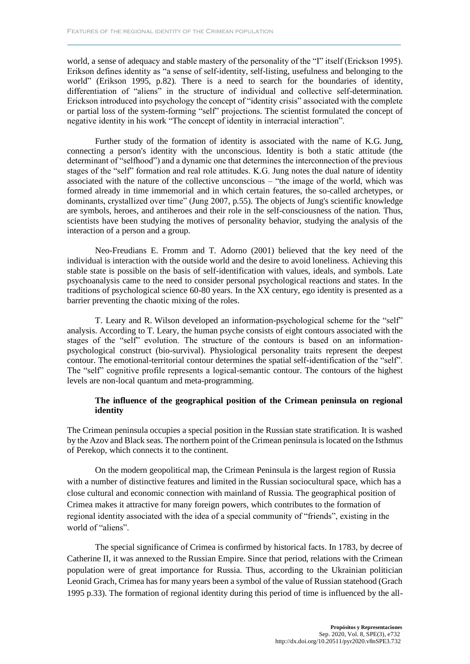world, a sense of adequacy and stable mastery of the personality of the "I" itself (Erickson 1995). Erikson defines identity as "a sense of self-identity, self-listing, usefulness and belonging to the world" (Erikson 1995, p.82). There is a need to search for the boundaries of identity, differentiation of "aliens" in the structure of individual and collective self-determination. Erickson introduced into psychology the concept of "identity crisis" associated with the complete or partial loss of the system-forming "self" projections. The scientist formulated the concept of negative identity in his work "The concept of identity in interracial interaction".

Further study of the formation of identity is associated with the name of K.G. Jung, connecting a person's identity with the unconscious. Identity is both a static attitude (the determinant of "selfhood") and a dynamic one that determines the interconnection of the previous stages of the "self" formation and real role attitudes. K.G. Jung notes the dual nature of identity associated with the nature of the collective unconscious – "the image of the world, which was formed already in time immemorial and in which certain features, the so-called archetypes, or dominants, crystallized over time" (Jung 2007, p.55). The objects of Jung's scientific knowledge are symbols, heroes, and antiheroes and their role in the self-consciousness of the nation. Thus, scientists have been studying the motives of personality behavior, studying the analysis of the interaction of a person and a group.

Neo-Freudians E. Fromm and T. Adorno (2001) believed that the key need of the individual is interaction with the outside world and the desire to avoid loneliness. Achieving this stable state is possible on the basis of self-identification with values, ideals, and symbols. Late psychoanalysis came to the need to consider personal psychological reactions and states. In the traditions of psychological science 60-80 years. In the XX century, ego identity is presented as a barrier preventing the chaotic mixing of the roles.

T. Leary and R. Wilson developed an information-psychological scheme for the "self" analysis. According to T. Leary, the human psyche consists of eight contours associated with the stages of the "self" evolution. The structure of the contours is based on an informationpsychological construct (bio-survival). Physiological personality traits represent the deepest contour. The emotional-territorial contour determines the spatial self-identification of the "self". The "self" cognitive profile represents a logical-semantic contour. The contours of the highest levels are non-local quantum and meta-programming.

### **The influence of the geographical position of the Crimean peninsula on regional identity**

The Crimean peninsula occupies a special position in the Russian state stratification. It is washed by the Azov and Black seas. The northern point of the Crimean peninsula is located on the Isthmus of Perekop, which connects it to the continent.

On the modern geopolitical map, the Crimean Peninsula is the largest region of Russia with a number of distinctive features and limited in the Russian sociocultural space, which has a close cultural and economic connection with mainland of Russia. The geographical position of Crimea makes it attractive for many foreign powers, which contributes to the formation of regional identity associated with the idea of a special community of "friends", existing in the world of "aliens".

The special significance of Crimea is confirmed by historical facts. In 1783, by decree of Catherine II, it was annexed to the Russian Empire. Since that period, relations with the Crimean population were of great importance for Russia. Thus, according to the Ukrainian politician Leonid Grach, Crimea has for many years been a symbol of the value of Russian statehood (Grach 1995 p.33). The formation of regional identity during this period of time is influenced by the all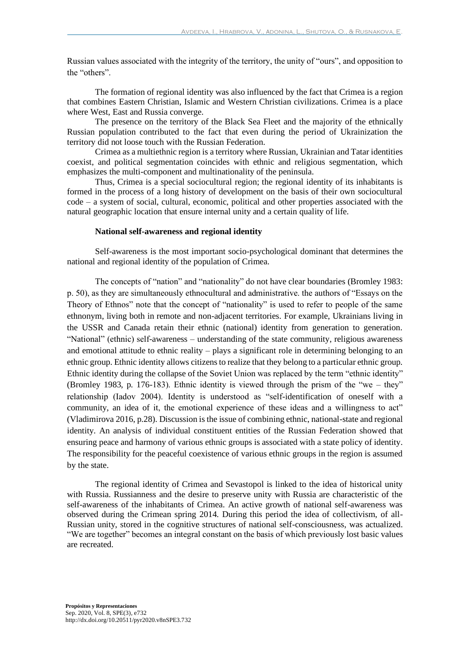Russian values associated with the integrity of the territory, the unity of "ours", and opposition to the "others".

The formation of regional identity was also influenced by the fact that Crimea is a region that combines Eastern Christian, Islamic and Western Christian civilizations. Crimea is a place where West, East and Russia converge.

The presence on the territory of the Black Sea Fleet and the majority of the ethnically Russian population contributed to the fact that even during the period of Ukrainization the territory did not loose touch with the Russian Federation.

Crimea as a multiethnic region is a territory where Russian, Ukrainian and Tatar identities coexist, and political segmentation coincides with ethnic and religious segmentation, which emphasizes the multi-component and multinationality of the peninsula.

Thus, Crimea is a special sociocultural region; the regional identity of its inhabitants is formed in the process of a long history of development on the basis of their own sociocultural code – a system of social, cultural, economic, political and other properties associated with the natural geographic location that ensure internal unity and a certain quality of life.

#### **National self-awareness and regional identity**

Self-awareness is the most important socio-psychological dominant that determines the national and regional identity of the population of Crimea.

The concepts of "nation" and "nationality" do not have clear boundaries (Bromley 1983: p. 50), as they are simultaneously ethnocultural and administrative. the authors of "Essays on the Theory of Ethnos" note that the concept of "nationality" is used to refer to people of the same ethnonym, living both in remote and non-adjacent territories. For example, Ukrainians living in the USSR and Canada retain their ethnic (national) identity from generation to generation. "National" (ethnic) self-awareness – understanding of the state community, religious awareness and emotional attitude to ethnic reality – plays a significant role in determining belonging to an ethnic group. Ethnic identity allows citizens to realize that they belong to a particular ethnic group. Ethnic identity during the collapse of the Soviet Union was replaced by the term "ethnic identity" (Bromley 1983, p. 176-183). Ethnic identity is viewed through the prism of the "we – they" relationship (Iadov 2004). Identity is understood as "self-identification of oneself with a community, an idea of it, the emotional experience of these ideas and a willingness to act" (Vladimirova 2016, p.28). Discussion is the issue of combining ethnic, national-state and regional identity. An analysis of individual constituent entities of the Russian Federation showed that ensuring peace and harmony of various ethnic groups is associated with a state policy of identity. The responsibility for the peaceful coexistence of various ethnic groups in the region is assumed by the state.

The regional identity of Crimea and Sevastopol is linked to the idea of historical unity with Russia. Russianness and the desire to preserve unity with Russia are characteristic of the self-awareness of the inhabitants of Crimea. An active growth of national self-awareness was observed during the Crimean spring 2014. During this period the idea of collectivism, of all-Russian unity, stored in the cognitive structures of national self-consciousness, was actualized. "We are together" becomes an integral constant on the basis of which previously lost basic values are recreated.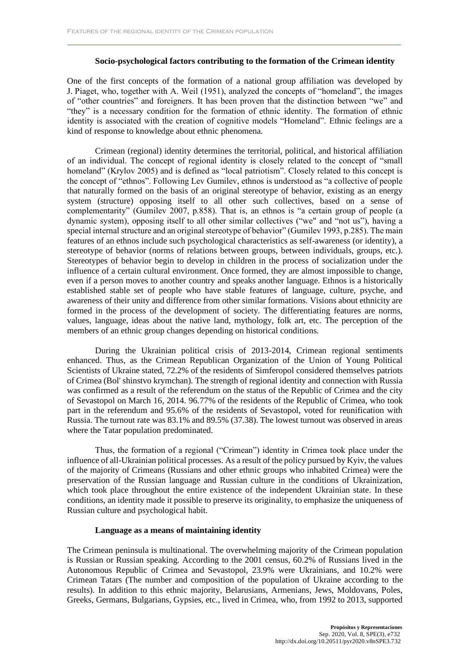#### **Socio-psychological factors contributing to the formation of the Crimean identity**

One of the first concepts of the formation of a national group affiliation was developed by J. Piaget, who, together with A. Weil (1951), analyzed the concepts of "homeland", the images of "other countries" and foreigners. It has been proven that the distinction between "we" and "they" is a necessary condition for the formation of ethnic identity. The formation of ethnic identity is associated with the creation of cognitive models "Homeland". Ethnic feelings are a kind of response to knowledge about ethnic phenomena.

Crimean (regional) identity determines the territorial, political, and historical affiliation of an individual. The concept of regional identity is closely related to the concept of "small homeland" (Krylov 2005) and is defined as "local patriotism". Closely related to this concept is the concept of "ethnos". Following Lev Gumilev, ethnos is understood as "a collective of people that naturally formed on the basis of an original stereotype of behavior, existing as an energy system (structure) opposing itself to all other such collectives, based on a sense of complementarity" (Gumilev 2007, p.858). That is, an ethnos is "a certain group of people (a dynamic system), opposing itself to all other similar collectives ("we" and "not us"), having a special internal structure and an original stereotype of behavior" (Gumilev 1993, p.285). The main features of an ethnos include such psychological characteristics as self-awareness (or identity), a stereotype of behavior (norms of relations between groups, between individuals, groups, etc.). Stereotypes of behavior begin to develop in children in the process of socialization under the influence of a certain cultural environment. Once formed, they are almost impossible to change, even if a person moves to another country and speaks another language. Ethnos is a historically established stable set of people who have stable features of language, culture, psyche, and awareness of their unity and difference from other similar formations. Visions about ethnicity are formed in the process of the development of society. The differentiating features are norms, values, language, ideas about the native land, mythology, folk art, etc. The perception of the members of an ethnic group changes depending on historical conditions.

During the Ukrainian political crisis of 2013-2014, Crimean regional sentiments enhanced. Thus, as the Crimean Republican Organization of the Union of Young Political Scientists of Ukraine stated, 72.2% of the residents of Simferopol considered themselves patriots of Crimea (Bol' shinstvo krymchan). The strength of regional identity and connection with Russia was confirmed as a result of the referendum on the status of the Republic of Crimea and the city of Sevastopol on March 16, 2014. 96.77% of the residents of the Republic of Crimea, who took part in the referendum and 95.6% of the residents of Sevastopol, voted for reunification with Russia. The turnout rate was 83.1% and 89.5% (37.38). The lowest turnout was observed in areas where the Tatar population predominated.

Thus, the formation of a regional ("Crimean") identity in Crimea took place under the influence of all-Ukrainian political processes. As a result of the policy pursued by Kyiv, the values of the majority of Crimeans (Russians and other ethnic groups who inhabited Crimea) were the preservation of the Russian language and Russian culture in the conditions of Ukrainization, which took place throughout the entire existence of the independent Ukrainian state. In these conditions, an identity made it possible to preserve its originality, to emphasize the uniqueness of Russian culture and psychological habit.

#### **Language as a means of maintaining identity**

The Crimean peninsula is multinational. The overwhelming majority of the Crimean population is Russian or Russian speaking. According to the 2001 census, 60.2% of Russians lived in the Autonomous Republic of Crimea and Sevastopol, 23.9% were Ukrainians, and 10.2% were Crimean Tatars (The number and composition of the population of Ukraine according to the results). In addition to this ethnic majority, Belarusians, Armenians, Jews, Moldovans, Poles, Greeks, Germans, Bulgarians, Gypsies, etc., lived in Crimea, who, from 1992 to 2013, supported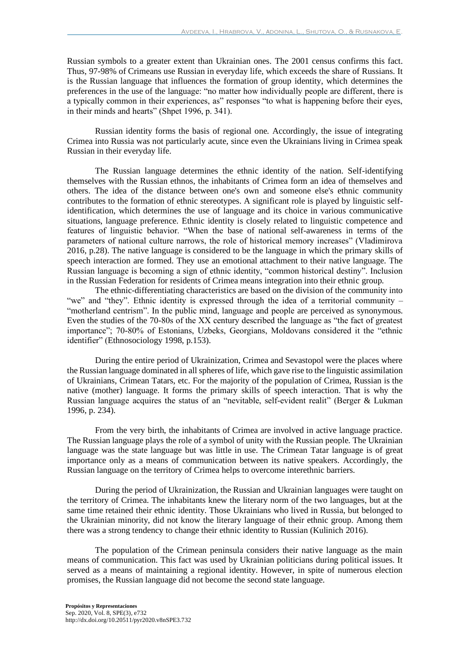Russian symbols to a greater extent than Ukrainian ones. The 2001 census confirms this fact. Thus, 97-98% of Crimeans use Russian in everyday life, which exceeds the share of Russians. It is the Russian language that influences the formation of group identity, which determines the preferences in the use of the language: "no matter how individually people are different, there is a typically common in their experiences, as" responses "to what is happening before their eyes, in their minds and hearts" (Shpet 1996, p. 341).

Russian identity forms the basis of regional one. Accordingly, the issue of integrating Crimea into Russia was not particularly acute, since even the Ukrainians living in Crimea speak Russian in their everyday life.

The Russian language determines the ethnic identity of the nation. Self-identifying themselves with the Russian ethnos, the inhabitants of Crimea form an idea of themselves and others. The idea of the distance between one's own and someone else's ethnic community contributes to the formation of ethnic stereotypes. A significant role is played by linguistic selfidentification, which determines the use of language and its choice in various communicative situations, language preference. Ethnic identity is closely related to linguistic competence and features of linguistic behavior. "When the base of national self-awareness in terms of the parameters of national culture narrows, the role of historical memory increases" (Vladimirova 2016, p.28). The native language is considered to be the language in which the primary skills of speech interaction are formed. They use an emotional attachment to their native language. The Russian language is becoming a sign of ethnic identity, "common historical destiny". Inclusion in the Russian Federation for residents of Crimea means integration into their ethnic group.

The ethnic-differentiating characteristics are based on the division of the community into "we" and "they". Ethnic identity is expressed through the idea of a territorial community – "motherland centrism". In the public mind, language and people are perceived as synonymous. Even the studies of the 70-80s of the XX century described the language as "the fact of greatest importance"; 70-80% of Estonians, Uzbeks, Georgians, Moldovans considered it the "ethnic identifier" (Ethnosociology 1998, p.153).

During the entire period of Ukrainization, Crimea and Sevastopol were the places where the Russian language dominated in all spheres of life, which gave rise to the linguistic assimilation of Ukrainians, Crimean Tatars, etc. For the majority of the population of Crimea, Russian is the native (mother) language. It forms the primary skills of speech interaction. That is why the Russian language acquires the status of an "nevitable, self-evident realit" (Berger & Lukman 1996, p. 234).

From the very birth, the inhabitants of Crimea are involved in active language practice. The Russian language plays the role of a symbol of unity with the Russian people. The Ukrainian language was the state language but was little in use. The Crimean Tatar language is of great importance only as a means of communication between its native speakers. Accordingly, the Russian language on the territory of Crimea helps to overcome interethnic barriers.

During the period of Ukrainization, the Russian and Ukrainian languages were taught on the territory of Crimea. The inhabitants knew the literary norm of the two languages, but at the same time retained their ethnic identity. Those Ukrainians who lived in Russia, but belonged to the Ukrainian minority, did not know the literary language of their ethnic group. Among them there was a strong tendency to change their ethnic identity to Russian (Kulinich 2016).

The population of the Crimean peninsula considers their native language as the main means of communication. This fact was used by Ukrainian politicians during political issues. It served as a means of maintaining a regional identity. However, in spite of numerous election promises, the Russian language did not become the second state language.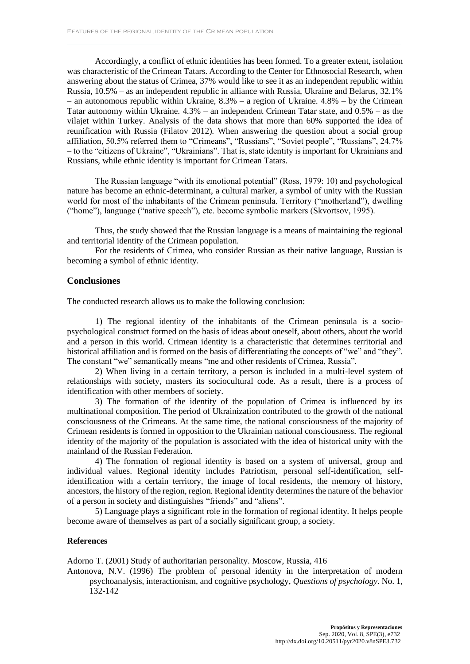Accordingly, a conflict of ethnic identities has been formed. To a greater extent, isolation was characteristic of the Crimean Tatars. According to the Center for Ethnosocial Research, when answering about the status of Crimea, 37% would like to see it as an independent republic within Russia, 10.5% – as an independent republic in alliance with Russia, Ukraine and Belarus, 32.1% – an autonomous republic within Ukraine,  $8.3\%$  – a region of Ukraine.  $4.8\%$  – by the Crimean Tatar autonomy within Ukraine. 4.3% – an independent Crimean Tatar state, and 0.5% – as the vilajet within Turkey. Analysis of the data shows that more than 60% supported the idea of reunification with Russia (Filatov 2012). When answering the question about a social group affiliation, 50.5% referred them to "Crimeans", "Russians", "Soviet people", "Russians", 24.7% – to the "citizens of Ukraine", "Ukrainians". That is, state identity is important for Ukrainians and Russians, while ethnic identity is important for Crimean Tatars.

The Russian language "with its emotional potential" (Ross, 1979: 10) and psychological nature has become an ethnic-determinant, a cultural marker, a symbol of unity with the Russian world for most of the inhabitants of the Crimean peninsula. Territory ("motherland"), dwelling ("home"), language ("native speech"), etc. become symbolic markers (Skvortsov, 1995).

Thus, the study showed that the Russian language is a means of maintaining the regional and territorial identity of the Crimean population.

For the residents of Crimea, who consider Russian as their native language, Russian is becoming a symbol of ethnic identity.

#### **Conclusiones**

The conducted research allows us to make the following conclusion:

1) The regional identity of the inhabitants of the Crimean peninsula is a sociopsychological construct formed on the basis of ideas about oneself, about others, about the world and a person in this world. Crimean identity is a characteristic that determines territorial and historical affiliation and is formed on the basis of differentiating the concepts of "we" and "they". The constant "we" semantically means "me and other residents of Crimea, Russia".

2) When living in a certain territory, a person is included in a multi-level system of relationships with society, masters its sociocultural code. As a result, there is a process of identification with other members of society.

3) The formation of the identity of the population of Crimea is influenced by its multinational composition. The period of Ukrainization contributed to the growth of the national consciousness of the Crimeans. At the same time, the national consciousness of the majority of Crimean residents is formed in opposition to the Ukrainian national consciousness. The regional identity of the majority of the population is associated with the idea of historical unity with the mainland of the Russian Federation.

4) The formation of regional identity is based on a system of universal, group and individual values. Regional identity includes Patriotism, personal self-identification, selfidentification with a certain territory, the image of local residents, the memory of history, ancestors, the history of the region, region. Regional identity determines the nature of the behavior of a person in society and distinguishes "friends" and "aliens".

5) Language plays a significant role in the formation of regional identity. It helps people become aware of themselves as part of a socially significant group, a society.

#### **References**

Adorno T. (2001) Study of authoritarian personality. Moscow, Russia, 416

Antonova, N.V. (1996) The problem of personal identity in the interpretation of modern psychoanalysis, interactionism, and cognitive psychology, *Questions of psychology*. No. 1, 132-142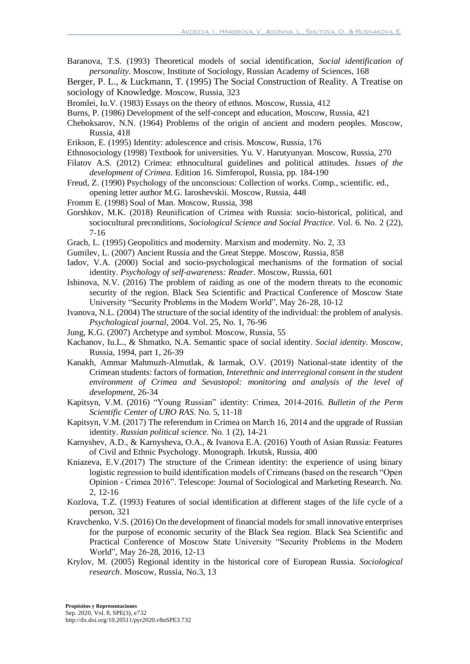- Baranova, T.S. (1993) Theoretical models of social identification, *Social identification of personality*. Moscow, Institute of Sociology, Russian Academy of Sciences, 168
- Berger, P. L., & Luckmann, T. (1995) The Social Construction of Reality. A Treatise on sociology of Knowledge. Moscow, Russia, 323
- Bromlei, Iu.V. (1983) Essays on the theory of ethnos. Moscow, Russia, 412
- Burns, P. (1986) Development of the self-concept and education, Moscow, Russia, 421
- Cheboksarov, N.N. (1964) Problems of the origin of ancient and modern peoples. Moscow, Russia, 418
- Erikson, E. (1995) Identity: adolescence and crisis. Moscow, Russia, 176
- Ethnosociology (1998) Textbook for universities. Yu. V. Harutyunyan. Moscow, Russia, 270
- Filatov A.S. (2012) Crimea: ethnocultural guidelines and political attitudes. *Issues of the development of Crimea*. Edition 16. Simferopol, Russia, pp. 184-190
- Freud, Z. (1990) Psychology of the unconscious: Collection of works. Comp., scientific. ed., opening letter author M.G. Iaroshevskii. Moscow, Russia, 448
- Fromm E. (1998) Soul of Man. Moscow, Russia, 398
- Gorshkov, M.K. (2018) Reunification of Crimea with Russia: socio-historical, political, and sociocultural preconditions, *Sociological Science and Social Practice*. Vol. 6. No. 2 (22), 7-16
- Grach, L. (1995) Geopolitics and modernity. Marxism and modernity. No. 2, 33
- Gumilev, L. (2007) Ancient Russia and the Great Steppe. Moscow, Russia, 858
- Iadov, V.A. (2000) Social and socio-psychological mechanisms of the formation of social identity. *Psychology of self-awareness: Reader*. Moscow, Russia, 601
- Ishinova, N.V. (2016) The problem of raiding as one of the modern threats to the economic security of the region. Black Sea Scientific and Practical Conference of Moscow State University "Security Problems in the Modern World", May 26-28, 10-12
- Ivanova, N.L. (2004) The structure of the social identity of the individual: the problem of analysis. *Psychological journal*, 2004. Vol. 25, No. 1, 76-96
- Jung, K.G. (2007) Archetype and symbol. Moscow, Russia, 55
- Kachanov, Iu.L., & Shmatko, N.A. Semantic space of social identity. *Social identity*. Moscow, Russia, 1994, part 1, 26-39
- Kanakh, Ammar Mahmuzh-Almutlak, & Iarmak, O.V. (2019) National-state identity of the Crimean students: factors of formation, *Interethnic and interregional consent in the student environment of Crimea and Sevastopol: monitoring and analysis of the level of development*, 26-34
- Kapitsyn, V.M. (2016) "Young Russian" identity: Crimea, 2014-2016. *Bulletin of the Perm Scientific Center of URO RAS*. No. 5, 11-18
- Kapitsyn, V.M. (2017) The referendum in Crimea on March 16, 2014 and the upgrade of Russian identity. *Russian political science*. No. 1 (2), 14-21
- Karnyshev, A.D., & Karnysheva, O.A., & Ivanova E.A. (2016) Youth of Asian Russia: Features of Civil and Ethnic Psychology. Monograph. Irkutsk, Russia, 400
- Kniazeva, E.V.(2017) The structure of the Crimean identity: the experience of using binary logistic regression to build identification models of Crimeans (based on the research "Open Opinion - Crimea 2016". Telescope: Journal of Sociological and Marketing Research. No. 2, 12-16
- Kozlova, T.Z. (1993) Features of social identification at different stages of the life cycle of a person, 321
- Kravchenko, V.S. (2016) On the development of financial models for small innovative enterprises for the purpose of economic security of the Black Sea region. Black Sea Scientific and Practical Conference of Moscow State University "Security Problems in the Modern World", May 26-28, 2016, 12-13
- Krylov, M. (2005) Regional identity in the historical core of European Russia. *Sociological research*. Moscow, Russia, No.3, 13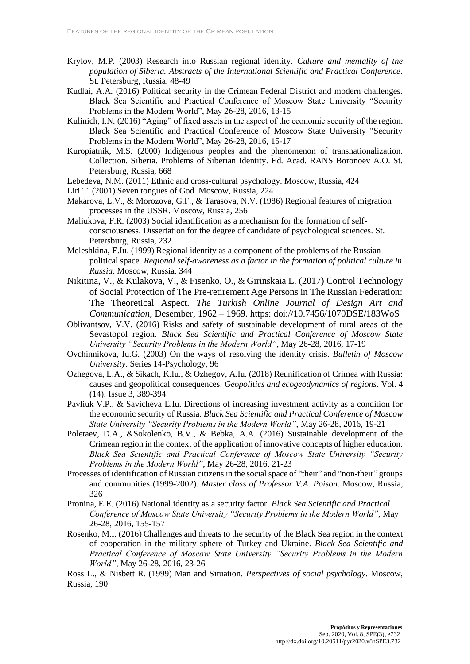- Krylov, M.P. (2003) Research into Russian regional identity. *Culture and mentality of the population of Siberia. Abstracts of the International Scientific and Practical Conference*. St. Petersburg, Russia, 48-49
- Kudlai, A.A. (2016) Political security in the Crimean Federal District and modern challenges. Black Sea Scientific and Practical Conference of Moscow State University "Security Problems in the Modern World", May 26-28, 2016, 13-15
- Kulinich, I.N. (2016) "Aging" of fixed assets in the aspect of the economic security of the region. Black Sea Scientific and Practical Conference of Moscow State University "Security Problems in the Modern World", May 26-28, 2016, 15-17
- Kuropiatnik, M.S. (2000) Indigenous peoples and the phenomenon of transnationalization. Collection. Siberia. Problems of Siberian Identity. Ed. Acad. RANS Boronoev A.O. St. Petersburg, Russia, 668
- Lebedeva, N.M. (2011) Ethnic and cross-cultural psychology. Moscow, Russia, 424
- Liri T. (2001) Seven tongues of God. Moscow, Russia, 224
- Makarova, L.V., & Morozova, G.F., & Tarasova, N.V. (1986) Regional features of migration processes in the USSR. Moscow, Russia, 256
- Maliukova, F.R. (2003) Social identification as a mechanism for the formation of selfconsciousness. Dissertation for the degree of candidate of psychological sciences. St. Petersburg, Russia, 232
- Meleshkina, E.Iu. (1999) Regional identity as a component of the problems of the Russian political space. *Regional self-awareness as a factor in the formation of political culture in Russia*. Moscow, Russia, 344
- Nikitina, V., & Kulakova, V., & Fisenko, O., & Girinskaia L. (2017) Control Technology of Social Protection of The Pre-retirement Age Persons in The Russian Federation: The Theoretical Aspect. *The Turkish Online Journal of Design Art and Communication*, Desember, 1962 – 1969. https: doi://10.7456/1070DSE/183WoS
- Oblivantsov, V.V. (2016) Risks and safety of sustainable development of rural areas of the Sevastopol region. *Black Sea Scientific and Practical Conference of Moscow State University "Security Problems in the Modern World"*, May 26-28, 2016, 17-19
- Ovchinnikova, Iu.G. (2003) On the ways of resolving the identity crisis. *Bulletin of Moscow University*. Series 14-Psychology, 96
- Ozhegova, L.A., & Sikach, K.Iu., & Ozhegov, A.Iu. (2018) Reunification of Crimea with Russia: causes and geopolitical consequences. *Geopolitics and ecogeodynamics of regions*. Vol. 4 (14). Issue 3, 389-394
- Pavliuk V.P., & Savicheva E.Iu. Directions of increasing investment activity as a condition for the economic security of Russia. *Black Sea Scientific and Practical Conference of Moscow State University "Security Problems in the Modern World"*, May 26-28, 2016, 19-21
- Poletaev, D.A., &Sokolenko, B.V., & Bebka, A.A. (2016) Sustainable development of the Crimean region in the context of the application of innovative concepts of higher education. *Black Sea Scientific and Practical Conference of Moscow State University "Security Problems in the Modern World"*, May 26-28, 2016, 21-23
- Processes of identification of Russian citizens in the social space of "their" and "non-their" groups and communities (1999-2002). *Master class of Professor V.A. Poison*. Moscow, Russia, 326
- Pronina, E.E. (2016) National identity as a security factor. *Black Sea Scientific and Practical Conference of Moscow State University "Security Problems in the Modern World"*, May 26-28, 2016, 155-157
- Rosenko, M.I. (2016) Challenges and threats to the security of the Black Sea region in the context of cooperation in the military sphere of Turkey and Ukraine. *Black Sea Scientific and Practical Conference of Moscow State University "Security Problems in the Modern World"*, May 26-28, 2016, 23-26

Ross L., & Nisbett R. (1999) Man and Situation. *Perspectives of social psychology*. Moscow, Russia, 190